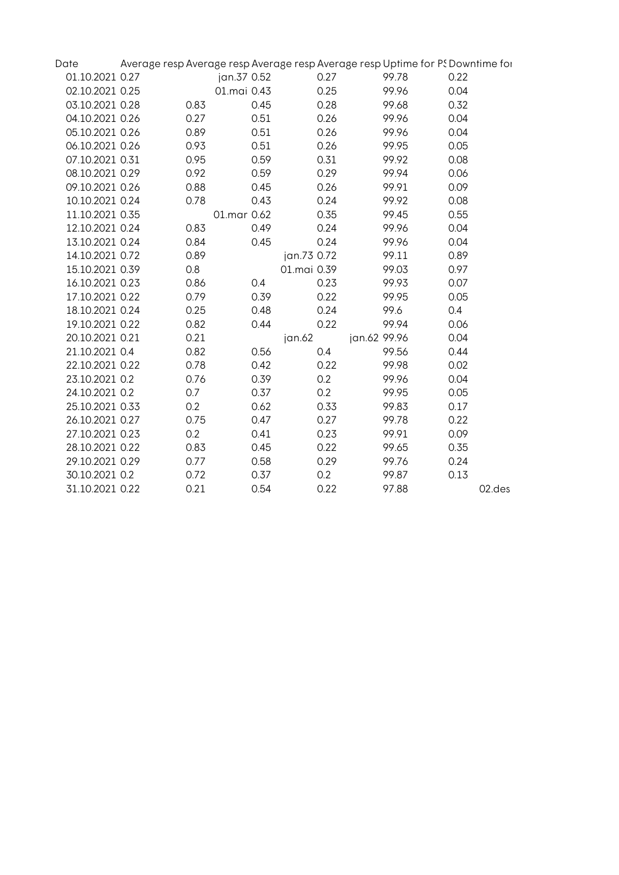| Date            |      |             |      |             |              | Average resp Average resp Average resp Average resp Uptime for PS Downtime for |      |        |
|-----------------|------|-------------|------|-------------|--------------|--------------------------------------------------------------------------------|------|--------|
| 01.10.2021 0.27 |      | jan.37 0.52 |      |             | 0.27         | 99.78                                                                          | 0.22 |        |
| 02.10.2021 0.25 |      | 01.mai 0.43 |      |             | 0.25         | 99.96                                                                          | 0.04 |        |
| 03.10.2021 0.28 | 0.83 |             | 0.45 |             | 0.28         | 99.68                                                                          | 0.32 |        |
| 04.10.2021 0.26 | 0.27 |             | 0.51 |             | 0.26         | 99.96                                                                          | 0.04 |        |
| 05.10.2021 0.26 | 0.89 |             | 0.51 |             | 0.26         | 99.96                                                                          | 0.04 |        |
| 06.10.2021 0.26 | 0.93 |             | 0.51 |             | 0.26         | 99.95                                                                          | 0.05 |        |
| 07.10.2021 0.31 | 0.95 |             | 0.59 |             | 0.31         | 99.92                                                                          | 0.08 |        |
| 08.10.2021 0.29 | 0.92 |             | 0.59 |             | 0.29         | 99.94                                                                          | 0.06 |        |
| 09.10.2021 0.26 | 0.88 |             | 0.45 |             | 0.26         | 99.91                                                                          | 0.09 |        |
| 10.10.2021 0.24 | 0.78 |             | 0.43 |             | 0.24         | 99.92                                                                          | 0.08 |        |
| 11.10.2021 0.35 |      | 01.mar 0.62 |      |             | 0.35         | 99.45                                                                          | 0.55 |        |
| 12.10.2021 0.24 | 0.83 |             | 0.49 |             | 0.24         | 99.96                                                                          | 0.04 |        |
| 13.10.2021 0.24 | 0.84 |             | 0.45 |             | 0.24         | 99.96                                                                          | 0.04 |        |
| 14.10.2021 0.72 | 0.89 |             |      | jan.73 0.72 |              | 99.11                                                                          | 0.89 |        |
| 15.10.2021 0.39 | 0.8  |             |      | 01.mai 0.39 |              | 99.03                                                                          | 0.97 |        |
| 16.10.2021 0.23 | 0.86 |             | 0.4  |             | 0.23         | 99.93                                                                          | 0.07 |        |
| 17.10.2021 0.22 | 0.79 |             | 0.39 |             | 0.22         | 99.95                                                                          | 0.05 |        |
| 18.10.2021 0.24 | 0.25 |             | 0.48 |             | 0.24         | 99.6                                                                           | 0.4  |        |
| 19.10.2021 0.22 | 0.82 |             | 0.44 |             | 0.22         | 99.94                                                                          | 0.06 |        |
| 20.10.2021 0.21 | 0.21 |             |      | jan.62      | jan.62 99.96 |                                                                                | 0.04 |        |
| 21.10.2021 0.4  | 0.82 |             | 0.56 | 0.4         |              | 99.56                                                                          | 0.44 |        |
| 22.10.2021 0.22 | 0.78 |             | 0.42 |             | 0.22         | 99.98                                                                          | 0.02 |        |
| 23.10.2021 0.2  | 0.76 |             | 0.39 | 0.2         |              | 99.96                                                                          | 0.04 |        |
| 24.10.2021 0.2  | 0.7  |             | 0.37 | 0.2         |              | 99.95                                                                          | 0.05 |        |
| 25.10.2021 0.33 | 0.2  |             | 0.62 |             | 0.33         | 99.83                                                                          | 0.17 |        |
| 26.10.2021 0.27 | 0.75 |             | 0.47 |             | 0.27         | 99.78                                                                          | 0.22 |        |
| 27.10.2021 0.23 | 0.2  |             | 0.41 |             | 0.23         | 99.91                                                                          | 0.09 |        |
| 28.10.2021 0.22 | 0.83 |             | 0.45 |             | 0.22         | 99.65                                                                          | 0.35 |        |
| 29.10.2021 0.29 | 0.77 |             | 0.58 |             | 0.29         | 99.76                                                                          | 0.24 |        |
| 30.10.2021 0.2  | 0.72 |             | 0.37 | 0.2         |              | 99.87                                                                          | 0.13 |        |
| 31.10.2021 0.22 | 0.21 |             | 0.54 |             | 0.22         | 97.88                                                                          |      | 02.des |